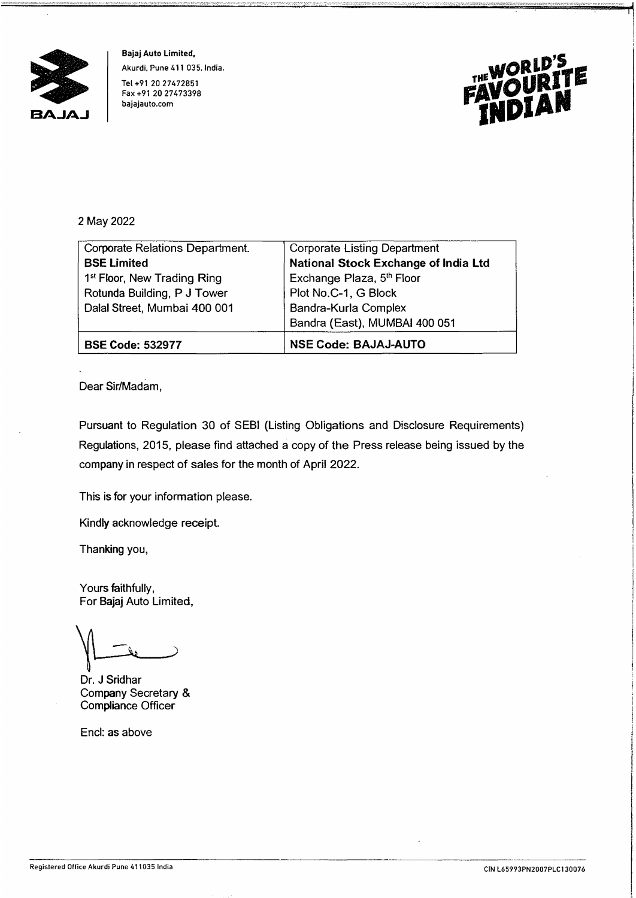

**Bajaj Auto Limited, Akurdi, Pune 411 035, India. Tel +91 20 27472851 Fax +91 20 27473398 bajajauto.com** 



## 2 May 2022

| Corporate Relations Department.         | <b>Corporate Listing Department</b>  |
|-----------------------------------------|--------------------------------------|
| <b>BSE Limited</b>                      | National Stock Exchange of India Ltd |
| 1 <sup>st</sup> Floor, New Trading Ring | Exchange Plaza, 5th Floor            |
| Rotunda Building, P J Tower             | Plot No.C-1, G Block                 |
| Daial Street, Mumbai 400 001            | Bandra-Kurla Complex                 |
|                                         | Bandra (East), MUMBAI 400 051        |
| <b>BSE Code: 532977</b>                 | <b>NSE Code: BAJAJ-AUTO</b>          |

Dear Sir/Madam,

Pursuant to Regulation 30 of SEBI {Listing Obligations and Disclosure Requirements) Regulations, 2015, please find attached a copy of the Press release being issued by the company in respect of sales for the month of April 2022.

This is for your information please.

Kindly acknowledge receipt.

Thanking you,

Yours faithfully, For Bajaj Auto Limited,

Dr. J Sridhar Company Secretary & Compliance Officer

Encl: as above